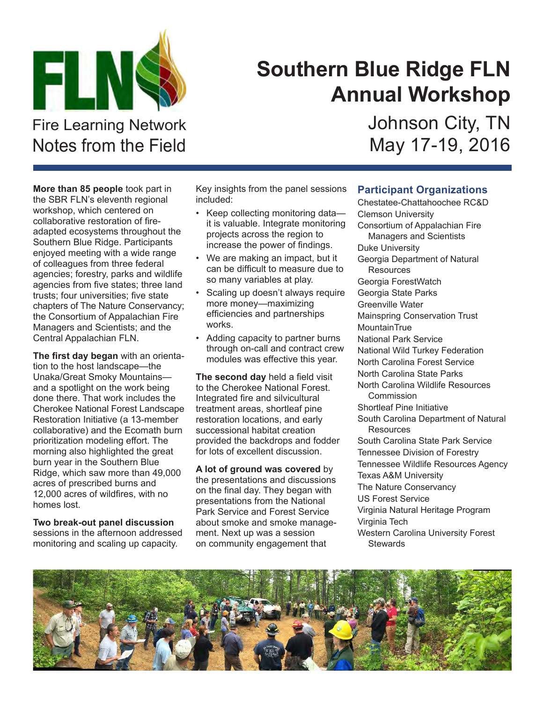

## **Southern Blue Ridge FLN Annual Workshop**

Fire Learning Network Notes from the Field

**More than 85 people** took part in the SBR FLN's eleventh regional workshop, which centered on collaborative restoration of fireadapted ecosystems throughout the Southern Blue Ridge. Participants enjoyed meeting with a wide range of colleagues from three federal agencies; forestry, parks and wildlife agencies from five states; three land trusts; four universities; five state chapters of The Nature Conservancy; the Consortium of Appalachian Fire Managers and Scientists; and the Central Appalachian FLN.

**The first day began** with an orientation to the host landscape—the Unaka/Great Smoky Mountains and a spotlight on the work being done there. That work includes the Cherokee National Forest Landscape Restoration Initiative (a 13-member collaborative) and the Ecomath burn prioritization modeling effort. The morning also highlighted the great burn year in the Southern Blue Ridge, which saw more than 49,000 acres of prescribed burns and 12,000 acres of wildfires, with no homes lost.

**Two break-out panel discussion** sessions in the afternoon addressed monitoring and scaling up capacity.

Key insights from the panel sessions included:

- Keep collecting monitoring data it is valuable. Integrate monitoring projects across the region to increase the power of findings.
- We are making an impact, but it can be difficult to measure due to so many variables at play.
- Scaling up doesn't always require more money—maximizing efficiencies and partnerships works.
- Adding capacity to partner burns through on-call and contract crew modules was effective this year.

**The second day** held a field visit to the Cherokee National Forest. Integrated fire and silvicultural treatment areas, shortleaf pine restoration locations, and early successional habitat creation provided the backdrops and fodder for lots of excellent discussion.

**A lot of ground was covered** by the presentations and discussions on the final day. They began with presentations from the National Park Service and Forest Service about smoke and smoke management. Next up was a session on community engagement that

## **Participant Organizations**

Chestatee-Chattahoochee RC&D Clemson University Consortium of Appalachian Fire Managers and Scientists Duke University Georgia Department of Natural **Resources** Georgia ForestWatch Georgia State Parks Greenville Water Mainspring Conservation Trust MountainTrue National Park Service National Wild Turkey Federation North Carolina Forest Service North Carolina State Parks North Carolina Wildlife Resources **Commission** Shortleaf Pine Initiative South Carolina Department of Natural Resources South Carolina State Park Service Tennessee Division of Forestry Tennessee Wildlife Resources Agency Texas A&M University The Nature Conservancy US Forest Service Virginia Natural Heritage Program Virginia Tech Western Carolina University Forest **Stewards** 



Johnson City, TN May 17-19, 2016